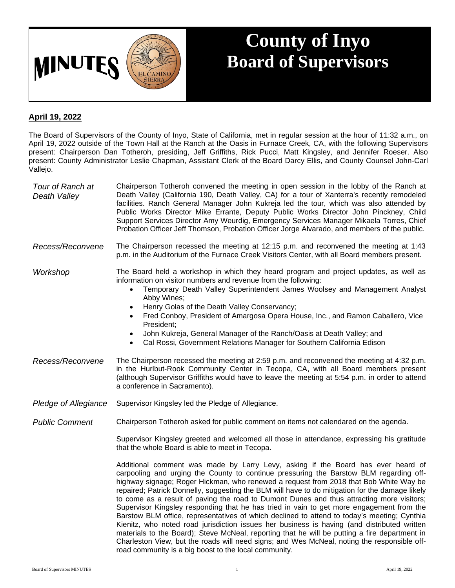

## **County of Inyo Board of Supervisors**

## **April 19, 2022**

The Board of Supervisors of the County of Inyo, State of California, met in regular session at the hour of 11:32 a.m., on April 19, 2022 outside of the Town Hall at the Ranch at the Oasis in Furnace Creek, CA, with the following Supervisors present: Chairperson Dan Totheroh, presiding, Jeff Griffiths, Rick Pucci, Matt Kingsley, and Jennifer Roeser. Also present: County Administrator Leslie Chapman, Assistant Clerk of the Board Darcy Ellis, and County Counsel John-Carl Vallejo.

| Tour of Ranch at<br>Death Valley | Chairperson Totheroh convened the meeting in open session in the lobby of the Ranch at<br>Death Valley (California 190, Death Valley, CA) for a tour of Xanterra's recently remodeled<br>facilities. Ranch General Manager John Kukreja led the tour, which was also attended by<br>Public Works Director Mike Errante, Deputy Public Works Director John Pinckney, Child<br>Support Services Director Amy Weurdig, Emergency Services Manager Mikaela Torres, Chief<br>Probation Officer Jeff Thomson, Probation Officer Jorge Alvarado, and members of the public.                                                                                           |
|----------------------------------|----------------------------------------------------------------------------------------------------------------------------------------------------------------------------------------------------------------------------------------------------------------------------------------------------------------------------------------------------------------------------------------------------------------------------------------------------------------------------------------------------------------------------------------------------------------------------------------------------------------------------------------------------------------|
| Recess/Reconvene                 | The Chairperson recessed the meeting at 12:15 p.m. and reconvened the meeting at 1:43<br>p.m. in the Auditorium of the Furnace Creek Visitors Center, with all Board members present.                                                                                                                                                                                                                                                                                                                                                                                                                                                                          |
| Workshop                         | The Board held a workshop in which they heard program and project updates, as well as<br>information on visitor numbers and revenue from the following:<br>Temporary Death Valley Superintendent James Woolsey and Management Analyst<br>$\bullet$<br>Abby Wines;<br>Henry Golas of the Death Valley Conservancy;<br>$\bullet$<br>Fred Conboy, President of Amargosa Opera House, Inc., and Ramon Caballero, Vice<br>$\bullet$<br>President;<br>John Kukreja, General Manager of the Ranch/Oasis at Death Valley; and<br>$\bullet$<br>Cal Rossi, Government Relations Manager for Southern California Edison<br>$\bullet$                                      |
| Recess/Reconvene                 | The Chairperson recessed the meeting at 2:59 p.m. and reconvened the meeting at 4:32 p.m.<br>in the Hurlbut-Rook Community Center in Tecopa, CA, with all Board members present<br>(although Supervisor Griffiths would have to leave the meeting at 5:54 p.m. in order to attend<br>a conference in Sacramento).                                                                                                                                                                                                                                                                                                                                              |
| Pledge of Allegiance             | Supervisor Kingsley led the Pledge of Allegiance.                                                                                                                                                                                                                                                                                                                                                                                                                                                                                                                                                                                                              |
| <b>Public Comment</b>            | Chairperson Totheroh asked for public comment on items not calendared on the agenda.                                                                                                                                                                                                                                                                                                                                                                                                                                                                                                                                                                           |
|                                  | Supervisor Kingsley greeted and welcomed all those in attendance, expressing his gratitude<br>that the whole Board is able to meet in Tecopa.                                                                                                                                                                                                                                                                                                                                                                                                                                                                                                                  |
|                                  | Additional comment was made by Larry Levy, asking if the Board has ever heard of<br>carpooling and urging the County to continue pressuring the Barstow BLM regarding off-<br>highway signage; Roger Hickman, who renewed a request from 2018 that Bob White Way be<br>repaired; Patrick Donnelly, suggesting the BLM will have to do mitigation for the damage likely<br>to come as a result of paving the road to Dumont Dunes and thus attracting more visitors;<br>Supervisor Kingsley responding that he has tried in vain to get more engagement from the<br>Barstow BLM office, representatives of which declined to attend to today's meeting; Cynthia |

Kienitz, who noted road jurisdiction issues her business is having (and distributed written materials to the Board); Steve McNeal, reporting that he will be putting a fire department in Charleston View, but the roads will need signs; and Wes McNeal, noting the responsible offroad community is a big boost to the local community.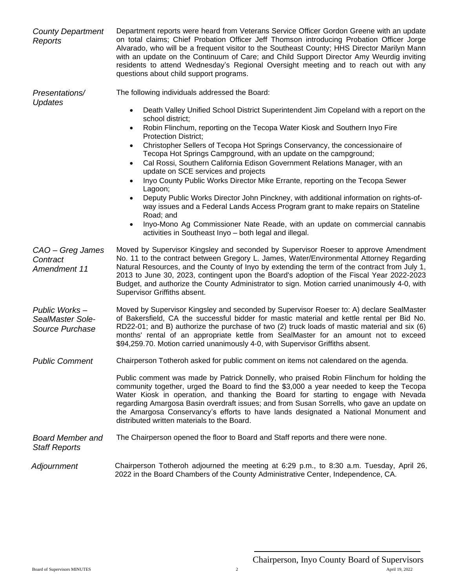| <b>County Department</b><br>Reports                  | Department reports were heard from Veterans Service Officer Gordon Greene with an update<br>on total claims; Chief Probation Officer Jeff Thomson introducing Probation Officer Jorge<br>Alvarado, who will be a frequent visitor to the Southeast County; HHS Director Marilyn Mann<br>with an update on the Continuum of Care; and Child Support Director Amy Weurdig inviting<br>residents to attend Wednesday's Regional Oversight meeting and to reach out with any<br>questions about child support programs.                                                                                                                                                                                                                                                                                                                                                                                                                                                                                                                   |
|------------------------------------------------------|---------------------------------------------------------------------------------------------------------------------------------------------------------------------------------------------------------------------------------------------------------------------------------------------------------------------------------------------------------------------------------------------------------------------------------------------------------------------------------------------------------------------------------------------------------------------------------------------------------------------------------------------------------------------------------------------------------------------------------------------------------------------------------------------------------------------------------------------------------------------------------------------------------------------------------------------------------------------------------------------------------------------------------------|
| Presentations/<br><b>Updates</b>                     | The following individuals addressed the Board:<br>Death Valley Unified School District Superintendent Jim Copeland with a report on the<br>$\bullet$<br>school district:<br>Robin Flinchum, reporting on the Tecopa Water Kiosk and Southern Inyo Fire<br>$\bullet$<br><b>Protection District;</b><br>Christopher Sellers of Tecopa Hot Springs Conservancy, the concessionaire of<br>$\bullet$<br>Tecopa Hot Springs Campground, with an update on the campground;<br>Cal Rossi, Southern California Edison Government Relations Manager, with an<br>$\bullet$<br>update on SCE services and projects<br>Inyo County Public Works Director Mike Errante, reporting on the Tecopa Sewer<br>Lagoon;<br>Deputy Public Works Director John Pinckney, with additional information on rights-of-<br>way issues and a Federal Lands Access Program grant to make repairs on Stateline<br>Road; and<br>Inyo-Mono Ag Commissioner Nate Reade, with an update on commercial cannabis<br>activities in Southeast Inyo - both legal and illegal. |
| CAO - Greg James<br>Contract<br>Amendment 11         | Moved by Supervisor Kingsley and seconded by Supervisor Roeser to approve Amendment<br>No. 11 to the contract between Gregory L. James, Water/Environmental Attorney Regarding<br>Natural Resources, and the County of Inyo by extending the term of the contract from July 1,<br>2013 to June 30, 2023, contingent upon the Board's adoption of the Fiscal Year 2022-2023<br>Budget, and authorize the County Administrator to sign. Motion carried unanimously 4-0, with<br>Supervisor Griffiths absent.                                                                                                                                                                                                                                                                                                                                                                                                                                                                                                                            |
| Public Works-<br>SealMaster Sole-<br>Source Purchase | Moved by Supervisor Kingsley and seconded by Supervisor Roeser to: A) declare SealMaster<br>of Bakersfield, CA the successful bidder for mastic material and kettle rental per Bid No.<br>RD22-01; and B) authorize the purchase of two (2) truck loads of mastic material and six (6)<br>months' rental of an appropriate kettle from SealMaster for an amount not to exceed<br>\$94,259.70. Motion carried unanimously 4-0, with Supervisor Griffiths absent.                                                                                                                                                                                                                                                                                                                                                                                                                                                                                                                                                                       |
| <b>Public Comment</b>                                | Chairperson Totheroh asked for public comment on items not calendared on the agenda.                                                                                                                                                                                                                                                                                                                                                                                                                                                                                                                                                                                                                                                                                                                                                                                                                                                                                                                                                  |
|                                                      | Public comment was made by Patrick Donnelly, who praised Robin Flinchum for holding the<br>community together, urged the Board to find the \$3,000 a year needed to keep the Tecopa<br>Water Kiosk in operation, and thanking the Board for starting to engage with Nevada<br>regarding Amargosa Basin overdraft issues; and from Susan Sorrells, who gave an update on<br>the Amargosa Conservancy's efforts to have lands designated a National Monument and<br>distributed written materials to the Board.                                                                                                                                                                                                                                                                                                                                                                                                                                                                                                                         |
| <b>Board Member and</b><br><b>Staff Reports</b>      | The Chairperson opened the floor to Board and Staff reports and there were none.                                                                                                                                                                                                                                                                                                                                                                                                                                                                                                                                                                                                                                                                                                                                                                                                                                                                                                                                                      |
| Adjournment                                          | Chairperson Totheroh adjourned the meeting at 6:29 p.m., to 8:30 a.m. Tuesday, April 26,<br>2022 in the Board Chambers of the County Administrative Center, Independence, CA.                                                                                                                                                                                                                                                                                                                                                                                                                                                                                                                                                                                                                                                                                                                                                                                                                                                         |